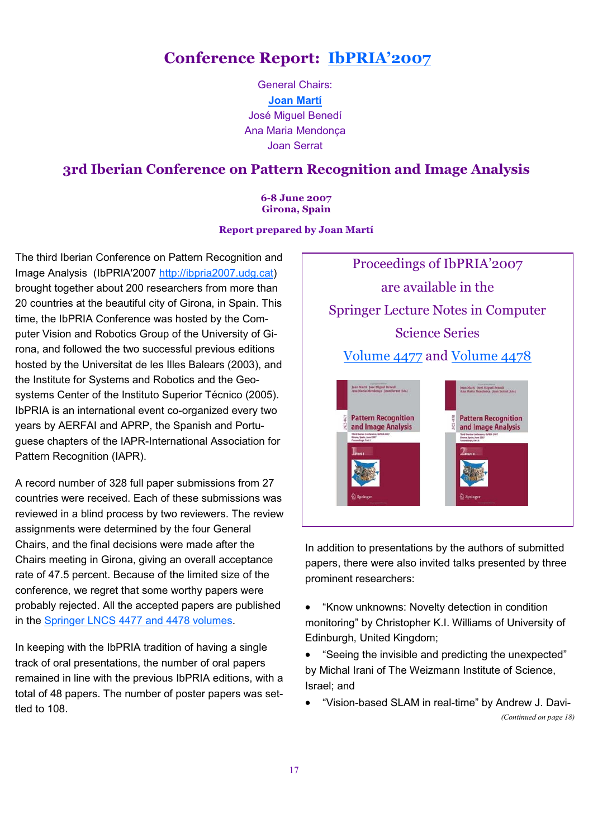## Conference Report: IbPRIA'2007

General Chairs: Joan Martí José Miguel Benedí Ana Maria Mendonça Joan Serrat

## 3rd Iberian Conference on Pattern Recognition and Image Analysis

6-8 June 2007 Girona, Spain

## Report prepared by Joan Martí

The third Iberian Conference on Pattern Recognition and Image Analysis (IbPRIA'2007 http://ibpria2007.udg.cat) brought together about 200 researchers from more than 20 countries at the beautiful city of Girona, in Spain. This time, the IbPRIA Conference was hosted by the Computer Vision and Robotics Group of the University of Girona, and followed the two successful previous editions hosted by the Universitat de les Illes Balears (2003), and the Institute for Systems and Robotics and the Geosystems Center of the Instituto Superior Técnico (2005). IbPRIA is an international event co-organized every two years by AERFAI and APRP, the Spanish and Portuguese chapters of the IAPR-International Association for Pattern Recognition (IAPR).

A record number of 328 full paper submissions from 27 countries were received. Each of these submissions was reviewed in a blind process by two reviewers. The review assignments were determined by the four General Chairs, and the final decisions were made after the Chairs meeting in Girona, giving an overall acceptance rate of 47.5 percent. Because of the limited size of the conference, we regret that some worthy papers were probably rejected. All the accepted papers are published in the Springer LNCS 4477 and 4478 volumes.

In keeping with the IbPRIA tradition of having a single track of oral presentations, the number of oral papers remained in line with the previous IbPRIA editions, with a total of 48 papers. The number of poster papers was settled to 108.





In addition to presentations by the authors of submitted papers, there were also invited talks presented by three prominent researchers:

• "Know unknowns: Novelty detection in condition monitoring" by Christopher K.I. Williams of University of Edinburgh, United Kingdom;

• "Seeing the invisible and predicting the unexpected" by Michal Irani of The Weizmann Institute of Science, Israel; and

• "Vision-based SLAM in real-time" by Andrew J. Davi- (Continued on page 18)